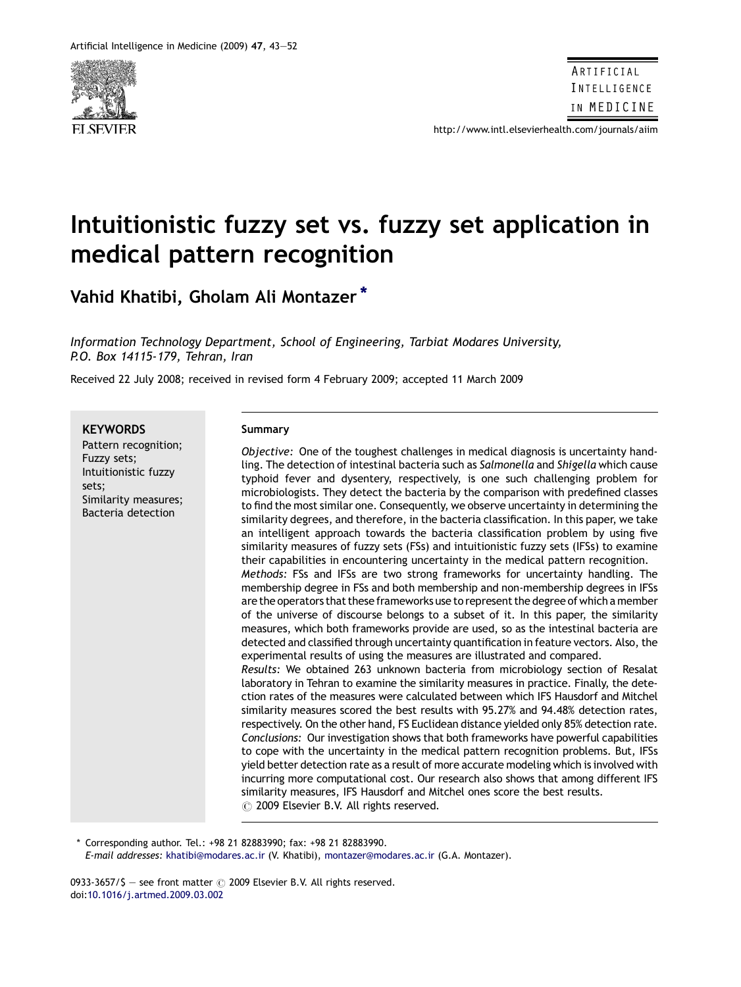

http://www.intl.elsevierhealth.com/journals/aiim

# Intuitionistic fuzzy set vs. fuzzy set application in medical pattern recognition

Vahid Khatibi, Gholam Ali Montazer \*

Information Technology Department, School of Engineering, Tarbiat Modares University, P.O. Box 14115-179, Tehran, Iran

Received 22 July 2008; received in revised form 4 February 2009; accepted 11 March 2009

### **KEYWORDS**

Pattern recognition; Fuzzy sets; Intuitionistic fuzzy sets; Similarity measures; Bacteria detection

#### Summary

Objective: One of the toughest challenges in medical diagnosis is uncertainty handling. The detection of intestinal bacteria such as Salmonella and Shigella which cause typhoid fever and dysentery, respectively, is one such challenging problem for microbiologists. They detect the bacteria by the comparison with predefined classes to find the most similar one. Consequently, we observe uncertainty in determining the similarity degrees, and therefore, in the bacteria classification. In this paper, we take an intelligent approach towards the bacteria classification problem by using five similarity measures of fuzzy sets (FSs) and intuitionistic fuzzy sets (IFSs) to examine their capabilities in encountering uncertainty in the medical pattern recognition. Methods: FSs and IFSs are two strong frameworks for uncertainty handling. The membership degree in FSs and both membership and non-membership degrees in IFSs are the operators that these frameworks use to represent the degree of which a member of the universe of discourse belongs to a subset of it. In this paper, the similarity measures, which both frameworks provide are used, so as the intestinal bacteria are detected and classified through uncertainty quantification in feature vectors. Also, the experimental results of using the measures are illustrated and compared. Results: We obtained 263 unknown bacteria from microbiology section of Resalat laboratory in Tehran to examine the similarity measures in practice. Finally, the detection rates of the measures were calculated between which IFS Hausdorf and Mitchel similarity measures scored the best results with 95.27% and 94.48% detection rates, respectively. On the other hand, FS Euclidean distance yielded only 85% detection rate. Conclusions: Our investigation shows that both frameworks have powerful capabilities to cope with the uncertainty in the medical pattern recognition problems. But, IFSs yield better detection rate as a result of more accurate modeling which is involved with incurring more computational cost. Our research also shows that among different IFS similarity measures, IFS Hausdorf and Mitchel ones score the best results.  $\odot$  2009 Elsevier B.V. All rights reserved.

\* Corresponding author. Tel.: +98 21 82883990; fax: +98 21 82883990. E-mail addresses: [khatibi@modares.ac.ir](mailto:khatibi@modares.ac.ir) (V. Khatibi), [montazer@modares.ac.ir](mailto:montazer@modares.ac.ir) (G.A. Montazer).

0933-3657/ $\zeta$  – see front matter  $\odot$  2009 Elsevier B.V. All rights reserved. doi[:10.1016/j.artmed.2009.03.002](http://dx.doi.org/10.1016/j.artmed.2009.03.002)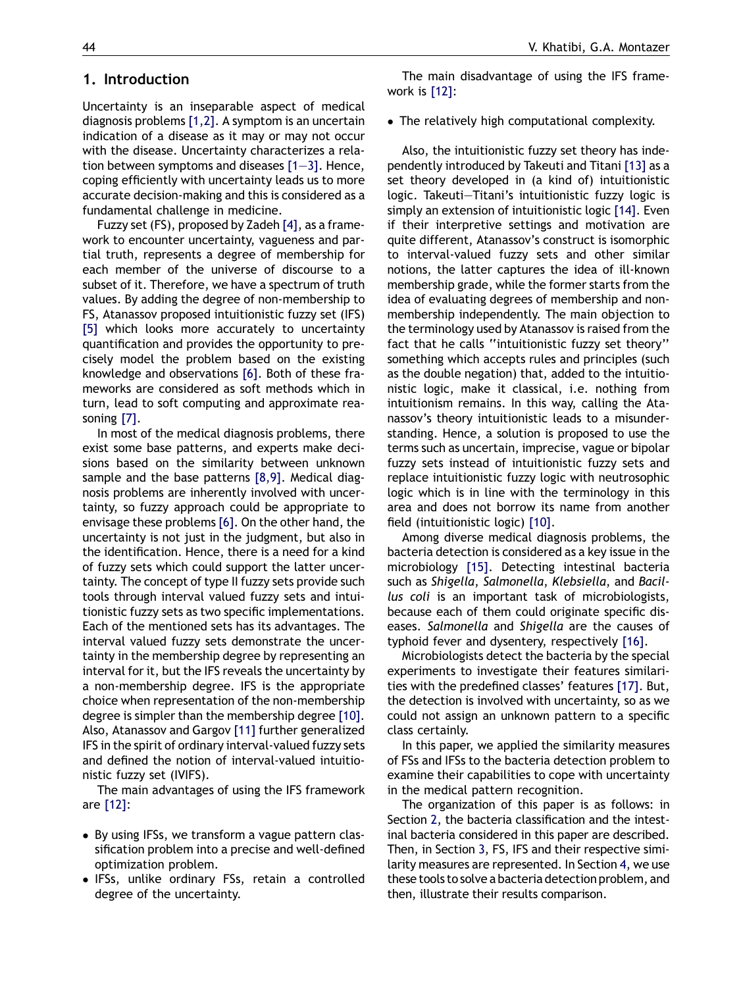## 1. Introduction

Uncertainty is an inseparable aspect of medical diagnosis problems [\[1,2\].](#page-8-0) A symptom is an uncertain indication of a disease as it may or may not occur with the disease. Uncertainty characterizes a relation between symptoms and diseases [\[1—3\]](#page-8-0). Hence, coping efficiently with uncertainty leads us to more accurate decision-making and this is considered as a fundamental challenge in medicine.

Fuzzy set (FS), proposed by Zadeh [\[4\],](#page-8-0) as a framework to encounter uncertainty, vagueness and partial truth, represents a degree of membership for each member of the universe of discourse to a subset of it. Therefore, we have a spectrum of truth values. By adding the degree of non-membership to FS, Atanassov proposed intuitionistic fuzzy set (IFS) [\[5\]](#page-8-0) which looks more accurately to uncertainty quantification and provides the opportunity to precisely model the problem based on the existing knowledge and observations [\[6\]](#page-8-0). Both of these frameworks are considered as soft methods which in turn, lead to soft computing and approximate reasoning [\[7\].](#page-8-0)

In most of the medical diagnosis problems, there exist some base patterns, and experts make decisions based on the similarity between unknown sample and the base patterns [\[8,9\]](#page-8-0). Medical diagnosis problems are inherently involved with uncertainty, so fuzzy approach could be appropriate to envisage these problems [\[6\]](#page-8-0). On the other hand, the uncertainty is not just in the judgment, but also in the identification. Hence, there is a need for a kind of fuzzy sets which could support the latter uncertainty. The concept of type II fuzzy sets provide such tools through interval valued fuzzy sets and intuitionistic fuzzy sets as two specific implementations. Each of the mentioned sets has its advantages. The interval valued fuzzy sets demonstrate the uncertainty in the membership degree by representing an interval for it, but the IFS reveals the uncertainty by a non-membership degree. IFS is the appropriate choice when representation of the non-membership degree is simpler than the membership degree [\[10\].](#page-8-0) Also, Atanassov and Gargov [\[11\]](#page-8-0) further generalized IFS in the spirit of ordinary interval-valued fuzzy sets and defined the notion of interval-valued intuitionistic fuzzy set (IVIFS).

The main advantages of using the IFS framework are [\[12\]:](#page-8-0)

- By using IFSs, we transform a vague pattern classification problem into a precise and well-defined optimization problem.
- IFSs, unlike ordinary FSs, retain a controlled degree of the uncertainty.

The main disadvantage of using the IFS framework is [\[12\]](#page-8-0):

- The relatively high computational complexity.

Also, the intuitionistic fuzzy set theory has independently introduced by Takeuti and Titani [\[13\]](#page-8-0) as a set theory developed in (a kind of) intuitionistic logic. Takeuti—Titani's intuitionistic fuzzy logic is simply an extension of intuitionistic logic [\[14\]](#page-8-0). Even if their interpretive settings and motivation are quite different, Atanassov's construct is isomorphic to interval-valued fuzzy sets and other similar notions, the latter captures the idea of ill-known membership grade, while the former starts from the idea of evaluating degrees of membership and nonmembership independently. The main objection to the terminology used by Atanassov is raised from the fact that he calls ''intuitionistic fuzzy set theory'' something which accepts rules and principles (such as the double negation) that, added to the intuitionistic logic, make it classical, i.e. nothing from intuitionism remains. In this way, calling the Atanassov's theory intuitionistic leads to a misunderstanding. Hence, a solution is proposed to use the terms such as uncertain, imprecise, vague or bipolar fuzzy sets instead of intuitionistic fuzzy sets and replace intuitionistic fuzzy logic with neutrosophic logic which is in line with the terminology in this area and does not borrow its name from another field (intuitionistic logic) [\[10\]](#page-8-0).

Among diverse medical diagnosis problems, the bacteria detection is considered as a key issue in the microbiology [\[15\].](#page-8-0) Detecting intestinal bacteria such as Shigella, Salmonella, Klebsiella, and Bacillus coli is an important task of microbiologists, because each of them could originate specific diseases. Salmonella and Shigella are the causes of typhoid fever and dysentery, respectively [\[16\]](#page-8-0).

Microbiologists detect the bacteria by the special experiments to investigate their features similarities with the predefined classes' features [\[17\].](#page-8-0) But, the detection is involved with uncertainty, so as we could not assign an unknown pattern to a specific class certainly.

In this paper, we applied the similarity measures of FSs and IFSs to the bacteria detection problem to examine their capabilities to cope with uncertainty in the medical pattern recognition.

The organization of this paper is as follows: in Section [2](#page-2-0), the bacteria classification and the intestinal bacteria considered in this paper are described. Then, in Section [3,](#page-2-0) FS, IFS and their respective similarity measures are represented. In Section [4](#page-4-0), we use these tools to solve a bacteria detection problem, and then, illustrate their results comparison.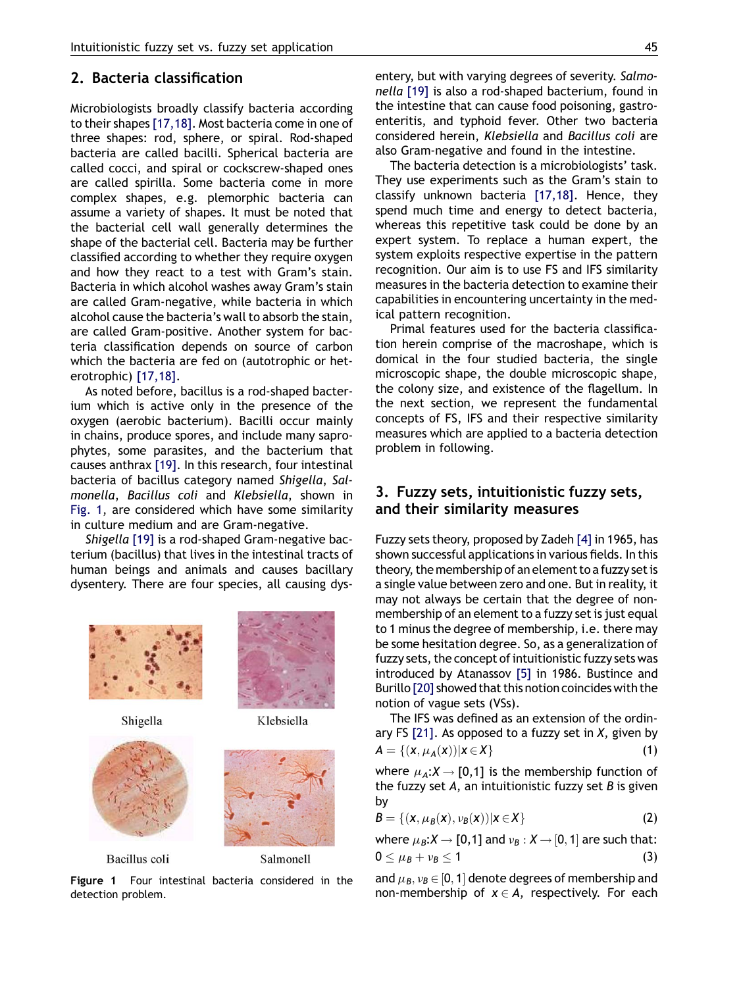# <span id="page-2-0"></span>2. Bacteria classification

Microbiologists broadly classify bacteria according to their shapes [\[17,18\]](#page-8-0). Most bacteria come in one of three shapes: rod, sphere, or spiral. Rod-shaped bacteria are called bacilli. Spherical bacteria are called cocci, and spiral or cockscrew-shaped ones are called spirilla. Some bacteria come in more complex shapes, e.g. plemorphic bacteria can assume a variety of shapes. It must be noted that the bacterial cell wall generally determines the shape of the bacterial cell. Bacteria may be further classified according to whether they require oxygen and how they react to a test with Gram's stain. Bacteria in which alcohol washes away Gram's stain are called Gram-negative, while bacteria in which alcohol cause the bacteria's wall to absorb the stain, are called Gram-positive. Another system for bacteria classification depends on source of carbon which the bacteria are fed on (autotrophic or heterotrophic) [\[17,18\].](#page-8-0)

As noted before, bacillus is a rod-shaped bacterium which is active only in the presence of the oxygen (aerobic bacterium). Bacilli occur mainly in chains, produce spores, and include many saprophytes, some parasites, and the bacterium that causes anthrax [\[19\]](#page-8-0). In this research, four intestinal bacteria of bacillus category named Shigella, Salmonella, Bacillus coli and Klebsiella, shown in Fig. 1, are considered which have some similarity in culture medium and are Gram-negative.

Shigella [\[19\]](#page-8-0) is a rod-shaped Gram-negative bacterium (bacillus) that lives in the intestinal tracts of human beings and animals and causes bacillary dysentery. There are four species, all causing dys-



Shigella





Klebsiella



Bacillus coli

Figure 1 Four intestinal bacteria considered in the detection problem.

entery, but with varying degrees of severity. Salmonella [\[19\]](#page-8-0) is also a rod-shaped bacterium, found in the intestine that can cause food poisoning, gastroenteritis, and typhoid fever. Other two bacteria considered herein, Klebsiella and Bacillus coli are also Gram-negative and found in the intestine.

The bacteria detection is a microbiologists' task. They use experiments such as the Gram's stain to classify unknown bacteria [\[17,18\]](#page-8-0). Hence, they spend much time and energy to detect bacteria, whereas this repetitive task could be done by an expert system. To replace a human expert, the system exploits respective expertise in the pattern recognition. Our aim is to use FS and IFS similarity measures in the bacteria detection to examine their capabilities in encountering uncertainty in the medical pattern recognition.

Primal features used for the bacteria classification herein comprise of the macroshape, which is domical in the four studied bacteria, the single microscopic shape, the double microscopic shape, the colony size, and existence of the flagellum. In the next section, we represent the fundamental concepts of FS, IFS and their respective similarity measures which are applied to a bacteria detection problem in following.

# 3. Fuzzy sets, intuitionistic fuzzy sets, and their similarity measures

Fuzzy sets theory, proposed by Zadeh [\[4\]](#page-8-0) in 1965, has shown successful applications in various fields. In this theory, the membership of an element to a fuzzy set is a single value between zero and one. But in reality, it may not always be certain that the degree of nonmembership of an element to a fuzzy set is just equal to 1 minus the degree of membership, i.e. there may be some hesitation degree. So, as a generalization of fuzzy sets, the concept of intuitionistic fuzzy sets was introduced by Atanassov [\[5\]](#page-8-0) in 1986. Bustince and Burillo [\[20\]](#page-8-0) showed that this notion coincides with the notion of vague sets (VSs).

The IFS was defined as an extension of the ordinary FS  $[21]$ . As opposed to a fuzzy set in X, given by  $A = \{ (x, \mu_A(x)) | x \in X \}$  (1)

where  $\mu_A: X \to [0,1]$  is the membership function of the fuzzy set  $A$ , an intuitionistic fuzzy set  $B$  is given by

$$
B = \{ (x, \mu_B(x), \nu_B(x)) | x \in X \}
$$
 (2)

where  $\mu_B: X \to [0,1]$  and  $\nu_B : X \to [0,1]$  are such that:  $0 \leq \mu_B + \nu_B \leq 1$ 

and  $\mu_B$ ,  $\nu_B \in [0, 1]$  denote degrees of membership and non-membership of  $x \in A$ , respectively. For each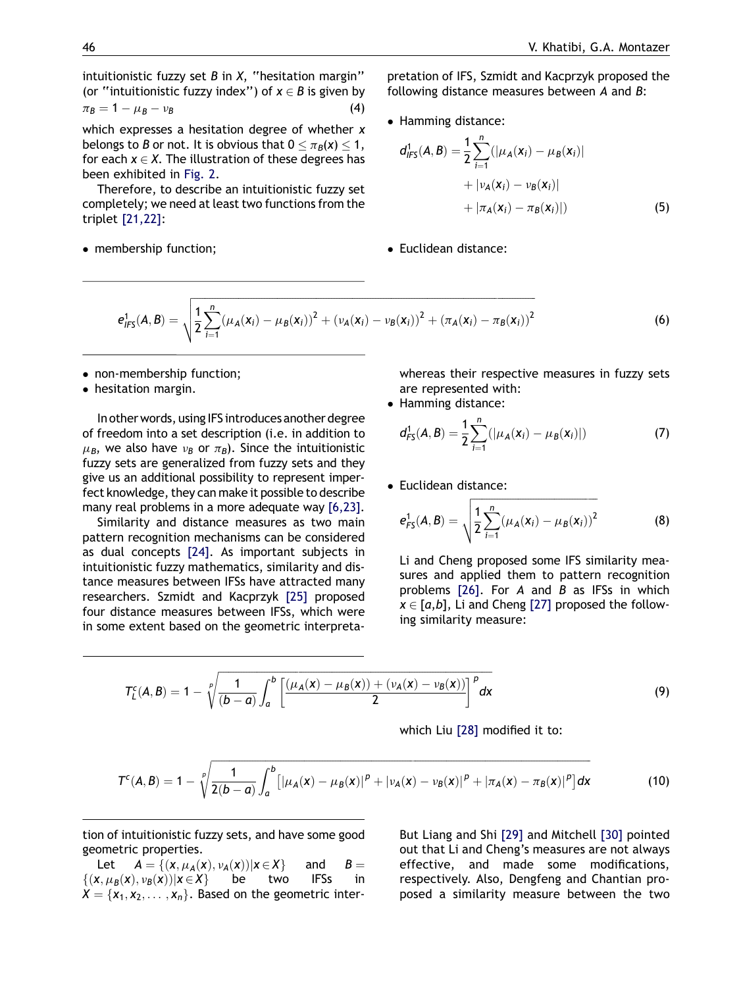<span id="page-3-0"></span>intuitionistic fuzzy set  $B$  in  $X$ , "hesitation margin" (or "intuitionistic fuzzy index") of  $x \in B$  is given by

$$
\pi_B = 1 - \mu_B - \nu_B \tag{4}
$$

which expresses a hesitation degree of whether x belongs to B or not. It is obvious that  $0 \leq \pi_B(x) \leq 1$ , for each  $x \in X$ . The illustration of these degrees has been exhibited in [Fig. 2](#page-4-0).

Therefore, to describe an intuitionistic fuzzy set completely; we need at least two functions from the triplet [\[21,22\]:](#page-8-0)

• membership function;

pretation of IFS, Szmidt and Kacprzyk proposed the following distance measures between A and B:

- Hamming distance:

$$
d_{IFS}^{1}(A, B) = \frac{1}{2} \sum_{i=1}^{n} (|\mu_{A}(x_{i}) - \mu_{B}(x_{i})| + |\nu_{A}(x_{i}) - \nu_{B}(x_{i})| + |\pi_{A}(x_{i}) - \pi_{B}(x_{i})|)
$$
(5)

- Euclidean distance:

$$
e_{IFS}^1(A,B) = \sqrt{\frac{1}{2} \sum_{i=1}^n (\mu_A(x_i) - \mu_B(x_i))^2 + (\nu_A(x_i) - \nu_B(x_i))^2 + (\pi_A(x_i) - \pi_B(x_i))^2}
$$
(6)

- non-membership function;
- hesitation margin.

In other words, using IFS introduces another degree of freedom into a set description (i.e. in addition to  $\mu_B$ , we also have  $\nu_B$  or  $\pi_B$ ). Since the intuitionistic fuzzy sets are generalized from fuzzy sets and they give us an additional possibility to represent imperfect knowledge, they can make it possible to describe many real problems in a more adequate way [\[6,23\].](#page-8-0)

Similarity and distance measures as two main pattern recognition mechanisms can be considered as dual concepts [\[24\]](#page-8-0). As important subjects in intuitionistic fuzzy mathematics, similarity and distance measures between IFSs have attracted many researchers. Szmidt and Kacprzyk [\[25\]](#page-8-0) proposed four distance measures between IFSs, which were in some extent based on the geometric interpretawhereas their respective measures in fuzzy sets are represented with:

- Hamming distance:  $d_{FS}^1(A, B) = \frac{1}{2}$  $\frac{n}{\sqrt{2}}$  $\mathcal{O}(|\mu_{A}(\mathbf{x}_i)-\mu_{B}(\mathbf{x}_i)|)$  (7)

 $i=1$ 

- Euclidean distance:

$$
e_{FS}^1(A,B) = \sqrt{\frac{1}{2} \sum_{i=1}^n (\mu_A(x_i) - \mu_B(x_i))^2}
$$
 (8)

Li and Cheng proposed some IFS similarity measures and applied them to pattern recognition problems  $[26]$ . For A and B as IFSs in which  $x \in [a,b]$ , Li and Cheng [\[27\]](#page-8-0) proposed the following similarity measure:

$$
T_{L}^{c}(A,B) = 1 - \sqrt[p]{\frac{1}{(b-a)} \int_{a}^{b} \left[ \frac{(\mu_{A}(x) - \mu_{B}(x)) + (\nu_{A}(x) - \nu_{B}(x))}{2} \right]^{p} dx}
$$
(9)

which Liu [\[28\]](#page-8-0) modified it to:

$$
T^{c}(A,B) = 1 - \sqrt[p]{\frac{1}{2(b-a)} \int_{a}^{b} \left[ |\mu_{A}(x) - \mu_{B}(x)|^{p} + |\nu_{A}(x) - \nu_{B}(x)|^{p} + |\pi_{A}(x) - \pi_{B}(x)|^{p} \right] dx}
$$
(10)

tion of intuitionistic fuzzy sets, and have some good geometric properties.

Let  $A = \{(x, \mu_A(x), \nu_A(x)) | x \in X\}$  and  $B = x, \mu_B(x), \nu_B(x) | x \in X\}$  be two IFSs in  $\{(x,\mu_B(x),\nu_B(x))|x\in X\}$  $X = \{x_1, x_2, \dots, x_n\}$ . Based on the geometric interBut Liang and Shi [\[29\]](#page-9-0) and Mitchell [\[30\]](#page-9-0) pointed out that Li and Cheng's measures are not always effective, and made some modifications, respectively. Also, Dengfeng and Chantian proposed a similarity measure between the two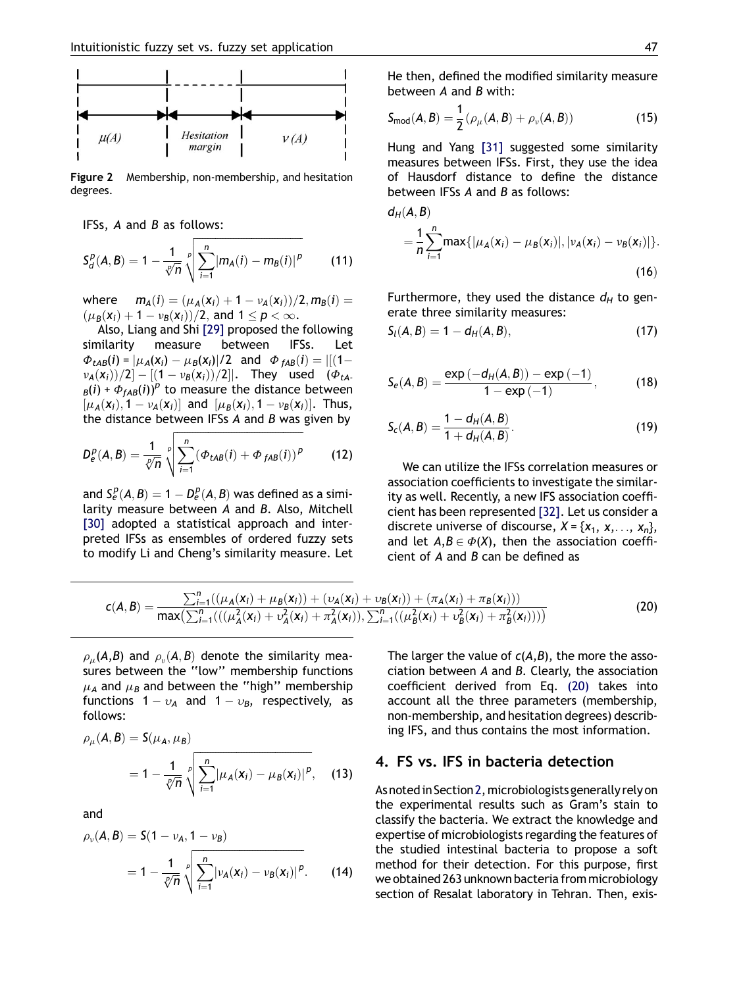<span id="page-4-0"></span>

Figure 2 Membership, non-membership, and hesitation degrees.

IFSs, A and B as follows:

$$
S_d^P(A, B) = 1 - \frac{1}{\sqrt[p]{n}} \sqrt[p]{\sum_{i=1}^n |m_A(i) - m_B(i)|^p}
$$
 (11)

where  $m_A(i) = (\mu_A(x_i) + 1 - \nu_A(x_i))/2, m_B(i) =$  $(\mu_B(\mathbf{x}_i) + 1 - \nu_B(\mathbf{x}_i))/2$ , and  $1 \leq p < \infty$ .

Also, Liang and Shi [\[29\]](#page-9-0) proposed the following similarity measure between IFSs. Let  $\Phi_{tAB}(i) = |\mu_A(x_i) - \mu_B(x_i)|/2$  and  $\Phi_{fAB}(i) = |[(1 - \mu_A)(x_i) - \mu_B(x_i)]/2$  $\nu_A(\mathbf{x}_i)/2] - [(1 - \nu_B(\mathbf{x}_i))/2]$ . They used ( $\Phi_{tA}$ .  $B_B(i) + \Phi_{fAB}(i))^p$  to measure the distance between  $[\mu_A(\mathbf{x}_i), 1 - \nu_A(\mathbf{x}_i)]$  and  $[\mu_B(\mathbf{x}_i), 1 - \nu_B(\mathbf{x}_i)]$ . Thus, the distance between IFSs  $A$  and  $B$  was given by

$$
D_e^P(A,B) = \frac{1}{\sqrt[p]{n}} \sqrt[p]{\sum_{i=1}^n (\Phi_{tAB}(i) + \Phi_{fAB}(i))^p}
$$
(12)

and  $S_e^p(A, B) = 1 - D_e^p(A, B)$  was defined as a similarity measure between A and B. Also, Mitchell [\[30\]](#page-9-0) adopted a statistical approach and interpreted IFSs as ensembles of ordered fuzzy sets to modify Li and Cheng's similarity measure. Let He then, defined the modified similarity measure between A and B with:

$$
S_{\text{mod}}(A, B) = \frac{1}{2} (\rho_{\mu}(A, B) + \rho_{\nu}(A, B))
$$
 (15)

Hung and Yang [\[31\]](#page-9-0) suggested some similarity measures between IFSs. First, they use the idea of Hausdorf distance to define the distance between IFSs  $A$  and  $B$  as follows:

$$
d_{H}(A, B) = \frac{1}{n} \sum_{i=1}^{n} \max\{|\mu_{A}(x_{i}) - \mu_{B}(x_{i})|, |\nu_{A}(x_{i}) - \nu_{B}(x_{i})|\}.
$$
\n(16)

Furthermore, they used the distance  $d_H$  to generate three similarity measures:

$$
S_l(A,B)=1-d_H(A,B), \qquad (17)
$$

$$
S_e(A, B) = \frac{\exp(-d_H(A, B)) - \exp(-1)}{1 - \exp(-1)},
$$
 (18)

$$
S_c(A, B) = \frac{1 - d_H(A, B)}{1 + d_H(A, B)}.
$$
\n(19)

We can utilize the IFSs correlation measures or association coefficients to investigate the similarity as well. Recently, a new IFS association coefficient has been represented [\[32\].](#page-9-0) Let us consider a discrete universe of discourse,  $X = \{x_1, x, \ldots, x_n\}$ , and let  $A, B \in \Phi(X)$ , then the association coefficient of  $A$  and  $B$  can be defined as

$$
c(A,B) = \frac{\sum_{i=1}^{n} ((\mu_A(x_i) + \mu_B(x_i)) + (\nu_A(x_i) + \nu_B(x_i)) + (\pi_A(x_i) + \pi_B(x_i)))}{\max(\sum_{i=1}^{n} (((\mu_A^2(x_i) + \nu_A^2(x_i) + \pi_A^2(x_i)), \sum_{i=1}^{n} ((\mu_B^2(x_i) + \nu_B^2(x_i) + \pi_B^2(x_i))))})
$$
(20)

 $\rho_\mu(A,B)$  and  $\rho_\nu(A,B)$  denote the similarity measures between the ''low'' membership functions  $\mu_A$  and  $\mu_B$  and between the "high" membership functions  $1 - v_A$  and  $1 - v_B$ , respectively, as follows:

$$
\rho_{\mu}(A, B) = S(\mu_A, \mu_B)
$$
  
=  $1 - \frac{1}{\sqrt[p]{n}} \sqrt[n]{\sum_{i=1}^{n} |\mu_A(x_i) - \mu_B(x_i)|^p}$ , (13)

and

$$
\rho_{\nu}(A, B) = S(1 - \nu_{A}, 1 - \nu_{B})
$$
  
=  $1 - \frac{1}{\sqrt[p]{n}} \sqrt[p]{\sum_{i=1}^{n} |\nu_{A}(x_{i}) - \nu_{B}(x_{i})|^{p}}$ . (14)

The larger the value of  $c(A,B)$ , the more the association between A and B. Clearly, the association coefficient derived from Eq. (20) takes into account all the three parameters (membership, non-membership, and hesitation degrees) describing IFS, and thus contains the most information.

# 4. FS vs. IFS in bacteria detection

As noted in Section [2](#page-2-0), microbiologists generally rely on the experimental results such as Gram's stain to classify the bacteria. We extract the knowledge and expertise of microbiologists regarding the features of the studied intestinal bacteria to propose a soft method for their detection. For this purpose, first we obtained 263 unknown bacteria from microbiology section of Resalat laboratory in Tehran. Then, exis-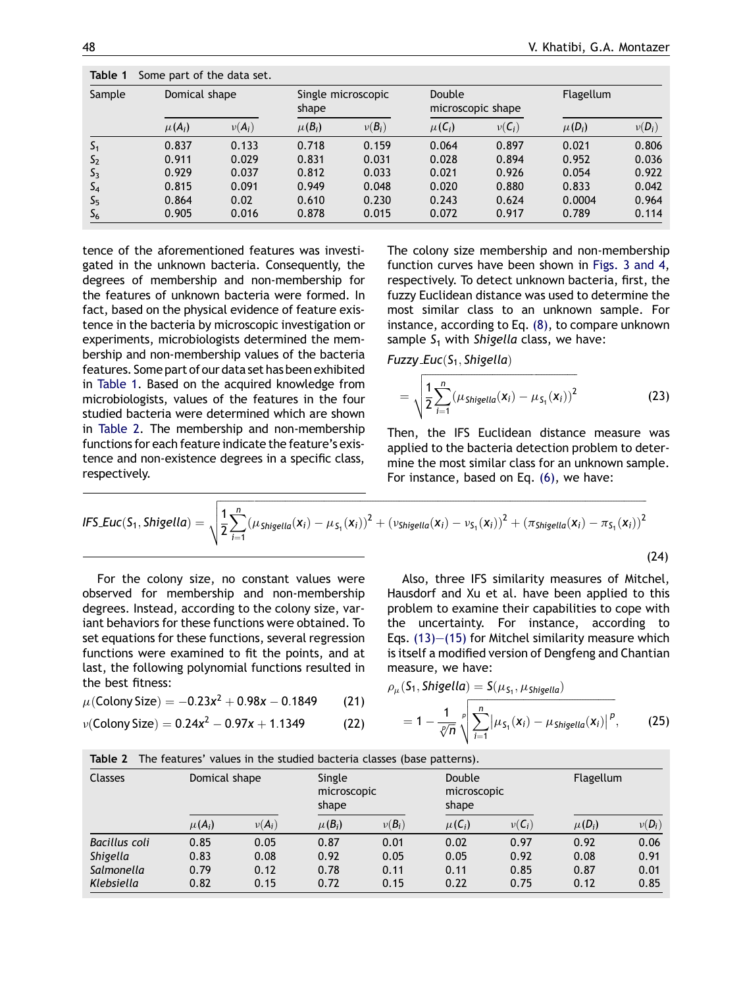| Table 1        | Some part of the data set. |            |                             |            |                             |                      |            |            |
|----------------|----------------------------|------------|-----------------------------|------------|-----------------------------|----------------------|------------|------------|
| Sample         | Domical shape              |            | Single microscopic<br>shape |            | Double<br>microscopic shape |                      | Flagellum  |            |
|                | $\mu(A_i)$                 | $\nu(A_i)$ | $\mu(B_i)$                  | $\nu(B_i)$ | $\mu(C_i)$                  | $\nu(\mathcal{C}_i)$ | $\mu(D_i)$ | $\nu(D_i)$ |
| S <sub>1</sub> | 0.837                      | 0.133      | 0.718                       | 0.159      | 0.064                       | 0.897                | 0.021      | 0.806      |
| S <sub>2</sub> | 0.911                      | 0.029      | 0.831                       | 0.031      | 0.028                       | 0.894                | 0.952      | 0.036      |
| $S_3$          | 0.929                      | 0.037      | 0.812                       | 0.033      | 0.021                       | 0.926                | 0.054      | 0.922      |
| $S_4$          | 0.815                      | 0.091      | 0.949                       | 0.048      | 0.020                       | 0.880                | 0.833      | 0.042      |
| S <sub>5</sub> | 0.864                      | 0.02       | 0.610                       | 0.230      | 0.243                       | 0.624                | 0.0004     | 0.964      |
| $S_6$          | 0.905                      | 0.016      | 0.878                       | 0.015      | 0.072                       | 0.917                | 0.789      | 0.114      |

tence of the aforementioned features was investigated in the unknown bacteria. Consequently, the degrees of membership and non-membership for the features of unknown bacteria were formed. In fact, based on the physical evidence of feature existence in the bacteria by microscopic investigation or experiments, microbiologists determined the membership and non-membership values of the bacteria features. Some part of our data set has been exhibited in Table 1. Based on the acquired knowledge from microbiologists, values of the features in the four studied bacteria were determined which are shown in Table 2. The membership and non-membership functions for each feature indicate the feature's existence and non-existence degrees in a specific class, respectively.

The colony size membership and non-membership function curves have been shown in [Figs. 3 and 4,](#page-6-0) respectively. To detect unknown bacteria, first, the fuzzy Euclidean distance was used to determine the most similar class to an unknown sample. For instance, according to Eq. [\(8\),](#page-3-0) to compare unknown sample  $S_1$  with Shigella class, we have:

 $Fuzzy-Euc(S<sub>1</sub>, Shigella)$ 

$$
= \sqrt{\frac{1}{2}\sum_{i=1}^{n} (\mu_{\text{Shigella}}(x_i) - \mu_{S_1}(x_i))^2}
$$
(23)

Then, the IFS Euclidean distance measure was applied to the bacteria detection problem to determine the most similar class for an unknown sample. For instance, based on Eq. [\(6\)](#page-3-0), we have:

$$
IFS_Euc(S_1, Shigella) = \sqrt{\frac{1}{2}\sum_{i=1}^{n} (\mu_{Shigella}(x_i) - \mu_{S_1}(x_i))^2 + (\nu_{Shigella}(x_i) - \nu_{S_1}(x_i))^2 + (\pi_{Shigella}(x_i) - \pi_{S_1}(x_i))^2}
$$
\n(24)

For the colony size, no constant values were observed for membership and non-membership degrees. Instead, according to the colony size, variant behaviors for these functions were obtained. To set equations for these functions, several regression functions were examined to fit the points, and at last, the following polynomial functions resulted in the best fitness:

 $\mu$ (Colony Size) = -0.23x<sup>2</sup> + 0.98x - 0.1849 (21)

$$
\nu(\text{Colony Size}) = 0.24x^2 - 0.97x + 1.1349 \tag{22}
$$

Also, three IFS similarity measures of Mitchell, Hausdorf and Xu et al. have been applied to this problem to examine their capabilities to cope with the uncertainty. For instance, according to Eqs. 
$$
(13)
$$
– $(15)$  for Mitchell similarity measure which is itself a modified version of Dengfeng and Chantian measure, we have:

$$
\rho_{\mu}(S_1, Shigella) = S(\mu_{S_1}, \mu_{Shigella})
$$
  
=  $1 - \frac{1}{\sqrt[p]{n}} \sqrt[p]{\sum_{i=1}^n |\mu_{S_1}(x_i) - \mu_{Shigella}(x_i)|^p},$  (25)

Table 2 The features' values in the studied bacteria classes (base patterns).

| <b>Classes</b> | Domical shape |            | Single<br>microscopic<br>shape |            | Double<br>microscopic<br>shape |            | Flagellum  |            |
|----------------|---------------|------------|--------------------------------|------------|--------------------------------|------------|------------|------------|
|                | $\mu(A_i)$    | $\nu(A_i)$ | $\mu(B_i)$                     | $\nu(B_i)$ | $\mu(C_i)$                     | $\nu(C_i)$ | $\mu(D_i)$ | $\nu(D_i)$ |
| Bacillus coli  | 0.85          | 0.05       | 0.87                           | 0.01       | 0.02                           | 0.97       | 0.92       | 0.06       |
| Shigella       | 0.83          | 0.08       | 0.92                           | 0.05       | 0.05                           | 0.92       | 0.08       | 0.91       |
| Salmonella     | 0.79          | 0.12       | 0.78                           | 0.11       | 0.11                           | 0.85       | 0.87       | 0.01       |
| Klebsiella     | 0.82          | 0.15       | 0.72                           | 0.15       | 0.22                           | 0.75       | 0.12       | 0.85       |

Table 1 Some part of the data set.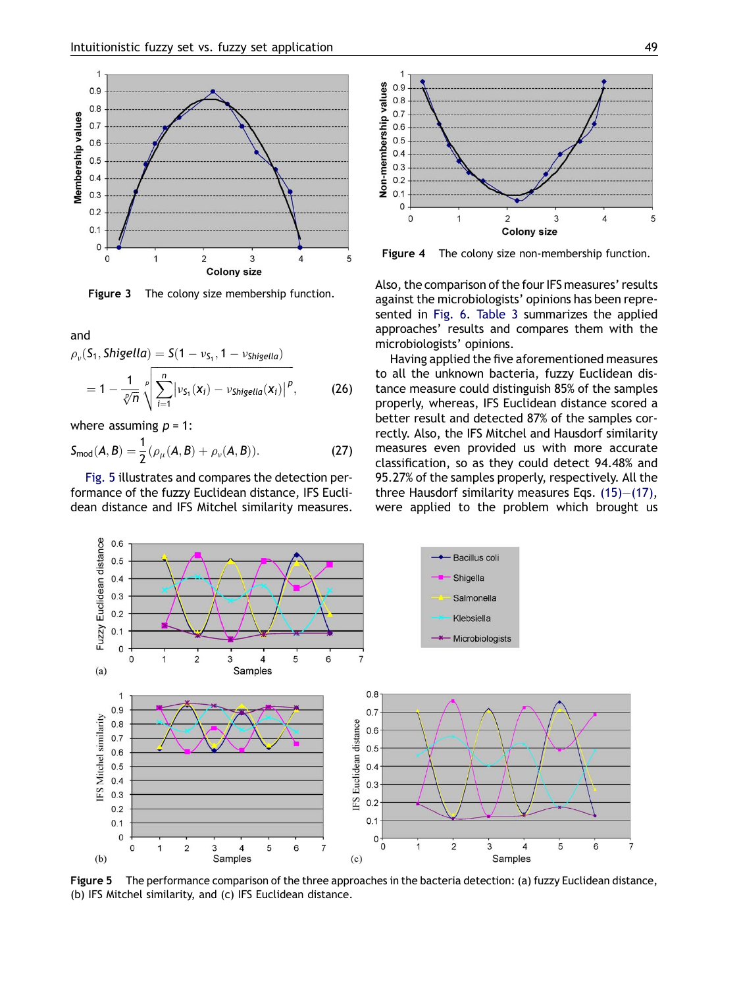<span id="page-6-0"></span>

Figure 3 The colony size membership function.

and  $\rho_\nu(S_1, Shigella) = S(1 - \nu_{S_1}, 1 - \nu_{Shigella})$  $=1-\frac{1}{\sqrt[p]{n}}$ ffiffiffiffiffiffiffiffiffiffiffiffiffiffiffiffiffiffiffiffiffiffiffiffiffiffiffiffiffiffiffiffiffiffiffiffiffiffiffiffiffiffiffiffiffiffiffiffiffiffiffiffiffiffi  $\frac{n}{\sqrt{n}}$  $i=1$  $\int_{0}^{p} \sqrt{\sum_{i=1}^{n} |v_{S_i}(x_i) - v_{\text{Shigella}}(x_i)|^{p}},$  (26)

where assuming  $p = 1$ :

$$
S_{\text{mod}}(A, B) = \frac{1}{2} (\rho_{\mu}(A, B) + \rho_{\nu}(A, B)).
$$
 (27)

Fig. 5 illustrates and compares the detection performance of the fuzzy Euclidean distance, IFS Euclidean distance and IFS Mitchel similarity measures.



Figure 4 The colony size non-membership function.

Also, the comparison of the four IFS measures' results against the microbiologists' opinions has been represented in [Fig. 6.](#page-7-0) [Table 3](#page-7-0) summarizes the applied approaches' results and compares them with the microbiologists' opinions.

Having applied the five aforementioned measures to all the unknown bacteria, fuzzy Euclidean distance measure could distinguish 85% of the samples properly, whereas, IFS Euclidean distance scored a better result and detected 87% of the samples correctly. Also, the IFS Mitchel and Hausdorf similarity measures even provided us with more accurate classification, so as they could detect 94.48% and 95.27% of the samples properly, respectively. All the three Hausdorf similarity measures Eqs. [\(15\)—\(17\)](#page-4-0), were applied to the problem which brought us



Figure 5 The performance comparison of the three approaches in the bacteria detection: (a) fuzzy Euclidean distance, (b) IFS Mitchel similarity, and (c) IFS Euclidean distance.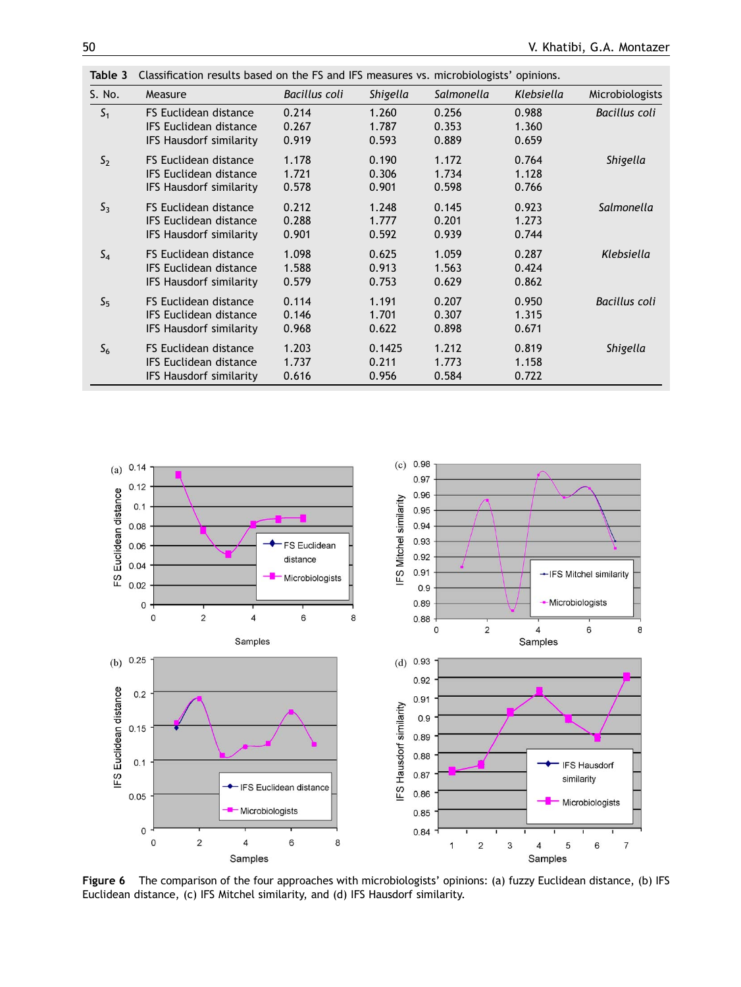<span id="page-7-0"></span>

| Table 3        | Classification results based on the FS and IFS measures vs. microbiologists'<br>opinions. |                         |                          |                         |                         |                 |  |  |
|----------------|-------------------------------------------------------------------------------------------|-------------------------|--------------------------|-------------------------|-------------------------|-----------------|--|--|
| S. No.         | Measure                                                                                   | Bacillus coli           | Shigella                 | Salmonella              | Klebsiella              | Microbiologists |  |  |
| S <sub>1</sub> | FS Euclidean distance<br><b>IFS Euclidean distance</b><br>IFS Hausdorf similarity         | 0.214<br>0.267<br>0.919 | 1.260<br>1.787<br>0.593  | 0.256<br>0.353<br>0.889 | 0.988<br>1.360<br>0.659 | Bacillus coli   |  |  |
| S <sub>2</sub> | FS Euclidean distance<br><b>IFS Euclidean distance</b><br><b>IFS Hausdorf similarity</b>  | 1.178<br>1.721<br>0.578 | 0.190<br>0.306<br>0.901  | 1.172<br>1.734<br>0.598 | 0.764<br>1.128<br>0.766 | Shigella        |  |  |
| S <sub>3</sub> | FS Euclidean distance<br><b>IFS Euclidean distance</b><br>IFS Hausdorf similarity         | 0.212<br>0.288<br>0.901 | 1.248<br>1.777<br>0.592  | 0.145<br>0.201<br>0.939 | 0.923<br>1.273<br>0.744 | Salmonella      |  |  |
| $S_4$          | FS Euclidean distance<br><b>IFS Euclidean distance</b><br><b>IFS Hausdorf similarity</b>  | 1.098<br>1.588<br>0.579 | 0.625<br>0.913<br>0.753  | 1.059<br>1.563<br>0.629 | 0.287<br>0.424<br>0.862 | Klebsiella      |  |  |
| S <sub>5</sub> | FS Euclidean distance<br><b>IFS Euclidean distance</b><br><b>IFS Hausdorf similarity</b>  | 0.114<br>0.146<br>0.968 | 1.191<br>1.701<br>0.622  | 0.207<br>0.307<br>0.898 | 0.950<br>1.315<br>0.671 | Bacillus coli   |  |  |
| $S_6$          | FS Euclidean distance<br><b>IFS Euclidean distance</b><br><b>IFS Hausdorf similarity</b>  | 1.203<br>1.737<br>0.616 | 0.1425<br>0.211<br>0.956 | 1.212<br>1.773<br>0.584 | 0.819<br>1.158<br>0.722 | Shigella        |  |  |



Figure 6 The comparison of the four approaches with microbiologists' opinions: (a) fuzzy Euclidean distance, (b) IFS Euclidean distance, (c) IFS Mitchel similarity, and (d) IFS Hausdorf similarity.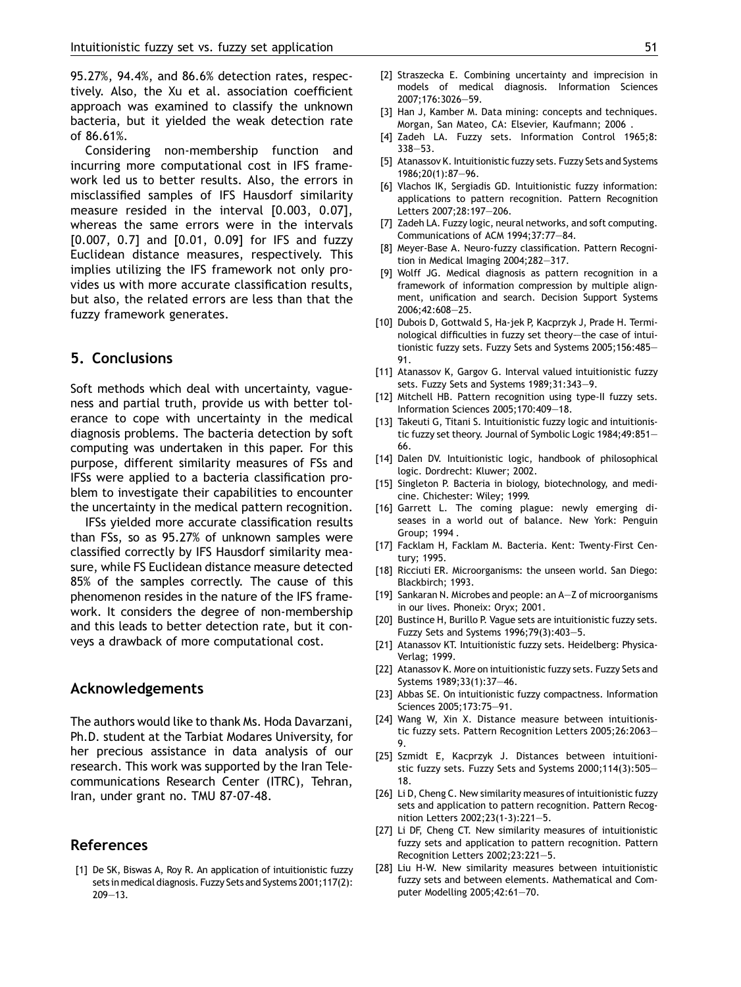<span id="page-8-0"></span>95.27%, 94.4%, and 86.6% detection rates, respectively. Also, the Xu et al. association coefficient approach was examined to classify the unknown bacteria, but it yielded the weak detection rate of 86.61%.

Considering non-membership function and incurring more computational cost in IFS framework led us to better results. Also, the errors in misclassified samples of IFS Hausdorf similarity measure resided in the interval [0.003, 0.07], whereas the same errors were in the intervals [0.007, 0.7] and [0.01, 0.09] for IFS and fuzzy Euclidean distance measures, respectively. This implies utilizing the IFS framework not only provides us with more accurate classification results, but also, the related errors are less than that the fuzzy framework generates.

# 5. Conclusions

Soft methods which deal with uncertainty, vagueness and partial truth, provide us with better tolerance to cope with uncertainty in the medical diagnosis problems. The bacteria detection by soft computing was undertaken in this paper. For this purpose, different similarity measures of FSs and IFSs were applied to a bacteria classification problem to investigate their capabilities to encounter the uncertainty in the medical pattern recognition.

IFSs yielded more accurate classification results than FSs, so as 95.27% of unknown samples were classified correctly by IFS Hausdorf similarity measure, while FS Euclidean distance measure detected 85% of the samples correctly. The cause of this phenomenon resides in the nature of the IFS framework. It considers the degree of non-membership and this leads to better detection rate, but it conveys a drawback of more computational cost.

# Acknowledgements

The authors would like to thank Ms. Hoda Davarzani, Ph.D. student at the Tarbiat Modares University, for her precious assistance in data analysis of our research. This work was supported by the Iran Telecommunications Research Center (ITRC), Tehran, Iran, under grant no. TMU 87-07-48.

## References

[1] De SK, Biswas A, Roy R. An application of intuitionistic fuzzy sets in medical diagnosis. Fuzzy Sets and Systems 2001;117(2): 209—13.

- [2] Straszecka E. Combining uncertainty and imprecision in models of medical diagnosis. Information Sciences 2007;176:3026—59.
- [3] Han J, Kamber M. Data mining: concepts and techniques. Morgan, San Mateo, CA: Elsevier, Kaufmann; 2006 .
- [4] Zadeh LA. Fuzzy sets. Information Control 1965;8: 338—53.
- [5] Atanassov K. Intuitionistic fuzzy sets. Fuzzy Sets and Systems 1986;20(1):87—96.
- [6] Vlachos IK, Sergiadis GD. Intuitionistic fuzzy information: applications to pattern recognition. Pattern Recognition Letters 2007;28:197—206.
- [7] Zadeh LA. Fuzzy logic, neural networks, and soft computing. Communications of ACM 1994;37:77—84.
- [8] Meyer-Base A. Neuro-fuzzy classification. Pattern Recognition in Medical Imaging 2004;282—317.
- [9] Wolff JG. Medical diagnosis as pattern recognition in a framework of information compression by multiple alignment, unification and search. Decision Support Systems 2006;42:608—25.
- [10] Dubois D, Gottwald S, Ha-jek P, Kacprzyk J, Prade H. Terminological difficulties in fuzzy set theory-the case of intuitionistic fuzzy sets. Fuzzy Sets and Systems 2005;156:485— 91.
- [11] Atanassov K, Gargov G. Interval valued intuitionistic fuzzy sets. Fuzzy Sets and Systems 1989;31:343—9.
- [12] Mitchell HB. Pattern recognition using type-II fuzzy sets. Information Sciences 2005;170:409—18.
- [13] Takeuti G, Titani S. Intuitionistic fuzzy logic and intuitionistic fuzzy set theory. Journal of Symbolic Logic 1984;49:851— 66.
- [14] Dalen DV. Intuitionistic logic, handbook of philosophical logic. Dordrecht: Kluwer; 2002.
- [15] Singleton P. Bacteria in biology, biotechnology, and medicine. Chichester: Wiley; 1999.
- [16] Garrett L. The coming plague: newly emerging diseases in a world out of balance. New York: Penguin Group; 1994 .
- [17] Facklam H, Facklam M. Bacteria. Kent: Twenty-First Century; 1995.
- [18] Ricciuti ER. Microorganisms: the unseen world. San Diego: Blackbirch; 1993.
- [19] Sankaran N. Microbes and people: an A—Z of microorganisms in our lives. Phoneix: Oryx; 2001.
- [20] Bustince H, Burillo P. Vague sets are intuitionistic fuzzy sets. Fuzzy Sets and Systems 1996;79(3):403—5.
- [21] Atanassov KT. Intuitionistic fuzzy sets. Heidelberg: Physica-Verlag; 1999.
- [22] Atanassov K. More on intuitionistic fuzzy sets. Fuzzy Sets and Systems 1989;33(1):37—46.
- [23] Abbas SE. On intuitionistic fuzzy compactness. Information Sciences 2005;173:75—91.
- [24] Wang W, Xin X. Distance measure between intuitionistic fuzzy sets. Pattern Recognition Letters 2005;26:2063— 9.
- [25] Szmidt E, Kacprzyk J. Distances between intuitionistic fuzzy sets. Fuzzy Sets and Systems 2000;114(3):505— 18.
- [26] Li D, Cheng C. New similarity measures of intuitionistic fuzzy sets and application to pattern recognition. Pattern Recognition Letters 2002;23(1-3):221—5.
- [27] Li DF, Cheng CT. New similarity measures of intuitionistic fuzzy sets and application to pattern recognition. Pattern Recognition Letters 2002;23:221—5.
- [28] Liu H-W. New similarity measures between intuitionistic fuzzy sets and between elements. Mathematical and Computer Modelling 2005;42:61—70.